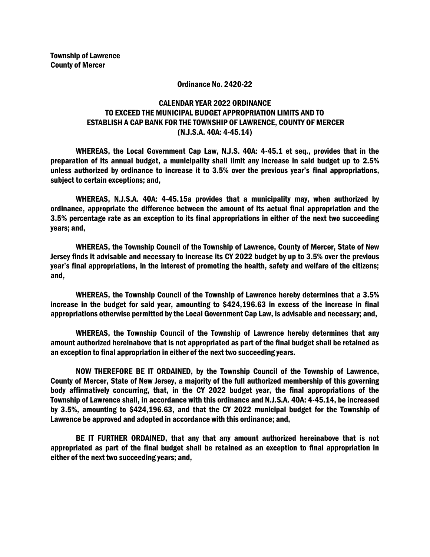## Ordinance No. 2420-22

## CALENDAR YEAR 2022 ORDINANCE TO EXCEED THE MUNICIPAL BUDGET APPROPRIATION LIMITS AND TO ESTABLISH A CAP BANK FOR THE TOWNSHIP OF LAWRENCE, COUNTY OF MERCER (N.J.S.A. 40A: 4-45.14)

WHEREAS, the Local Government Cap Law, N.J.S. 40A: 4-45.1 et seq., provides that in the preparation of its annual budget, a municipality shall limit any increase in said budget up to 2.5% unless authorized by ordinance to increase it to 3.5% over the previous year's final appropriations, subject to certain exceptions; and,

WHEREAS, N.J.S.A. 40A: 4-45.15a provides that a municipality may, when authorized by ordinance, appropriate the difference between the amount of its actual final appropriation and the 3.5% percentage rate as an exception to its final appropriations in either of the next two succeeding years; and,

WHEREAS, the Township Council of the Township of Lawrence, County of Mercer, State of New Jersey finds it advisable and necessary to increase its CY 2022 budget by up to 3.5% over the previous year's final appropriations, in the interest of promoting the health, safety and welfare of the citizens; and,

WHEREAS, the Township Council of the Township of Lawrence hereby determines that a 3.5% increase in the budget for said year, amounting to \$424,196.63 in excess of the increase in final appropriations otherwise permitted by the Local Government Cap Law, is advisable and necessary; and,

WHEREAS, the Township Council of the Township of Lawrence hereby determines that any amount authorized hereinabove that is not appropriated as part of the final budget shall be retained as an exception to final appropriation in either of the next two succeeding years.

NOW THEREFORE BE IT ORDAINED, by the Township Council of the Township of Lawrence, County of Mercer, State of New Jersey, a majority of the full authorized membership of this governing body affirmatively concurring, that, in the CY 2022 budget year, the final appropriations of the Township of Lawrence shall, in accordance with this ordinance and N.J.S.A. 40A: 4-45.14, be increased by 3.5%, amounting to \$424,196.63, and that the CY 2022 municipal budget for the Township of Lawrence be approved and adopted in accordance with this ordinance; and,

BE IT FURTHER ORDAINED, that any that any amount authorized hereinabove that is not appropriated as part of the final budget shall be retained as an exception to final appropriation in either of the next two succeeding years; and,